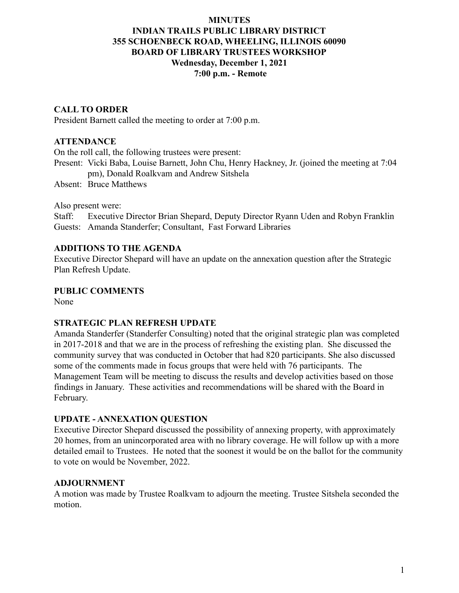### **MINUTES INDIAN TRAILS PUBLIC LIBRARY DISTRICT 355 SCHOENBECK ROAD, WHEELING, ILLINOIS 60090 BOARD OF LIBRARY TRUSTEES WORKSHOP Wednesday, December 1, 2021 7:00 p.m. - Remote**

# **CALL TO ORDER**

President Barnett called the meeting to order at 7:00 p.m.

## **ATTENDANCE**

On the roll call, the following trustees were present:

Present: Vicki Baba, Louise Barnett, John Chu, Henry Hackney, Jr. (joined the meeting at 7:04 pm), Donald Roalkvam and Andrew Sitshela

Absent: Bruce Matthews

Also present were:

Staff: Executive Director Brian Shepard, Deputy Director Ryann Uden and Robyn Franklin Guests: Amanda Standerfer; Consultant, Fast Forward Libraries

#### **ADDITIONS TO THE AGENDA**

Executive Director Shepard will have an update on the annexation question after the Strategic Plan Refresh Update.

#### **PUBLIC COMMENTS**

None

## **STRATEGIC PLAN REFRESH UPDATE**

Amanda Standerfer (Standerfer Consulting) noted that the original strategic plan was completed in 2017-2018 and that we are in the process of refreshing the existing plan. She discussed the community survey that was conducted in October that had 820 participants. She also discussed some of the comments made in focus groups that were held with 76 participants. The Management Team will be meeting to discuss the results and develop activities based on those findings in January. These activities and recommendations will be shared with the Board in February.

## **UPDATE - ANNEXATION QUESTION**

Executive Director Shepard discussed the possibility of annexing property, with approximately 20 homes, from an unincorporated area with no library coverage. He will follow up with a more detailed email to Trustees. He noted that the soonest it would be on the ballot for the community to vote on would be November, 2022.

## **ADJOURNMENT**

A motion was made by Trustee Roalkvam to adjourn the meeting. Trustee Sitshela seconded the motion.